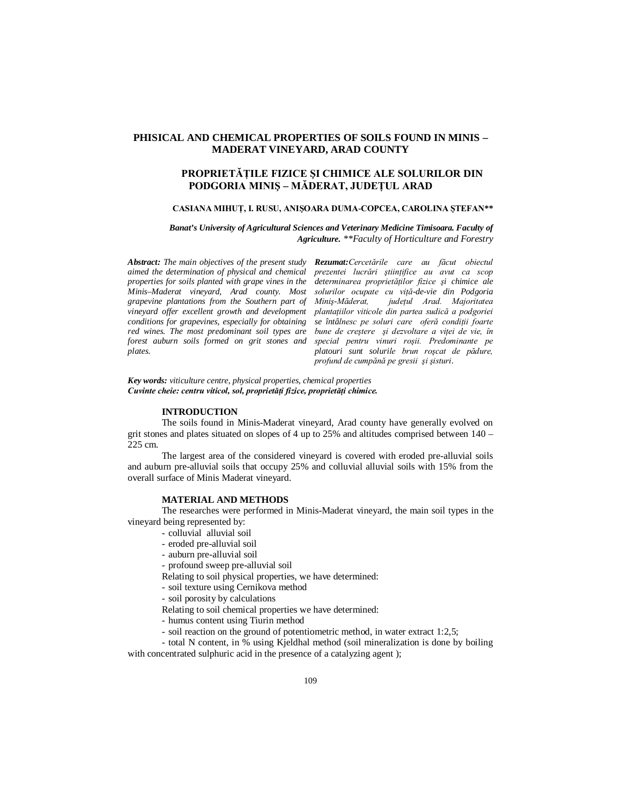# **PHISICAL AND CHEMICAL PROPERTIES OF SOILS FOUND IN MINIS – MADERAT VINEYARD, ARAD COUNTY**

# **PROPRIETĂŢILE FIZICE ŞI CHIMICE ALE SOLURILOR DIN PODGORIA MINIŞ – MĂDERAT, JUDEŢUL ARAD**

### **CASIANA MIHUŢ, I. RUSU, ANIŞOARA DUMA-COPCEA, CAROLINA ŞTEFAN\*\***

*Banat's University of Agricultural Sciences and Veterinary Medicine Timisoara. Faculty of Agriculture. \*\*Faculty of Horticulture and Forestry*

*Abstract: The main objectives of the present study Rezumat:Cercetările care au făcut obiectul aimed the determination of physical and chemical properties for soils planted with grape vines in the Minis–Maderat vineyard, Arad county. Most grapevine plantations from the Southern part of vineyard offer excellent growth and development conditions for grapevines, especially for obtaining red wines. The most predominant soil types are forest auburn soils formed on grit stones and plates.*

*prezentei lucrări ştiinţifice au avut ca scop determinarea proprietăţilor fizice şi chimice ale solurilor ocupate cu viţă-de-vie din Podgoria Miniş-Măderat, judeţul Arad. Majoritatea plantaţiilor viticole din partea sudică a podgoriei se întâlnesc pe soluri care oferă condiţii foarte bune de creştere şi dezvoltare a viţei de vie, în special pentru vinuri roşii. Predominante pe platouri sunt solurile brun roşcat de pădure, profund de cumpănă pe gresii şi şisturi*.

*Key words: viticulture centre, physical properties, chemical properties Cuvinte cheie: centru viticol, sol, proprietăţi fizice, proprietăţi chimice.*

### **INTRODUCTION**

The soils found in Minis-Maderat vineyard, Arad county have generally evolved on grit stones and plates situated on slopes of 4 up to  $25\%$  and altitudes comprised between  $140 -$ 225 cm.

The largest area of the considered vineyard is covered with eroded pre-alluvial soils and auburn pre-alluvial soils that occupy 25% and colluvial alluvial soils with 15% from the overall surface of Minis Maderat vineyard.

#### **MATERIAL AND METHODS**

The researches were performed in Minis-Maderat vineyard, the main soil types in the vineyard being represented by:

- colluvial alluvial soil
- eroded pre-alluvial soil
- auburn pre-alluvial soil

- profound sweep pre-alluvial soil

Relating to soil physical properties, we have determined:

- soil texture using Cernikova method

- soil porosity by calculations

Relating to soil chemical properties we have determined:

- humus content using Tiurin method

- soil reaction on the ground of potentiometric method, in water extract 1:2,5;

- total N content, in % using Kjeldhal method (soil mineralization is done by boiling with concentrated sulphuric acid in the presence of a catalyzing agent);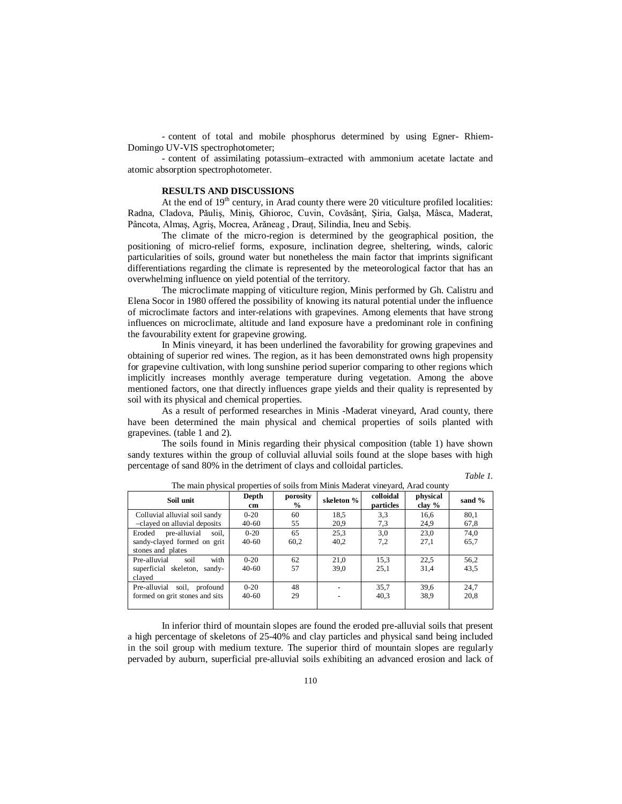- content of total and mobile phosphorus determined by using Egner- Rhiem-Domingo UV-VIS spectrophotometer;

- content of assimilating potassium–extracted with ammonium acetate lactate and atomic absorption spectrophotometer.

## **RESULTS AND DISCUSSIONS**

At the end of  $19<sup>th</sup>$  century, in Arad county there were 20 viticulture profiled localities: Radna, Cladova, Păuliş, Miniş, Ghioroc, Cuvin, Covăsânţ, Şiria, Galşa, Mâsca, Maderat, Pâncota, Almaş, Agriş, Mocrea, Arăneag , Drauţ, Silindia, Ineu and Sebiş.

The climate of the micro-region is determined by the geographical position, the positioning of micro-relief forms, exposure, inclination degree, sheltering, winds, caloric particularities of soils, ground water but nonetheless the main factor that imprints significant differentiations regarding the climate is represented by the meteorological factor that has an overwhelming influence on yield potential of the territory.

The microclimate mapping of viticulture region, Minis performed by Gh. Calistru and Elena Socor in 1980 offered the possibility of knowing its natural potential under the influence of microclimate factors and inter-relations with grapevines. Among elements that have strong influences on microclimate, altitude and land exposure have a predominant role in confining the favourability extent for grapevine growing.

In Minis vineyard, it has been underlined the favorability for growing grapevines and obtaining of superior red wines. The region, as it has been demonstrated owns high propensity for grapevine cultivation, with long sunshine period superior comparing to other regions which implicitly increases monthly average temperature during vegetation. Among the above mentioned factors, one that directly influences grape yields and their quality is represented by soil with its physical and chemical properties.

As a result of performed researches in Minis -Maderat vineyard, Arad county, there have been determined the main physical and chemical properties of soils planted with grapevines. (table 1 and 2).

The soils found in Minis regarding their physical composition (table 1) have shown sandy textures within the group of colluvial alluvial soils found at the slope bases with high percentage of sand 80% in the detriment of clays and colloidal particles.

#### *Table 1.*

| The main physical properties of sons from number macerate the fare, I filled county |                     |                  |                                      |              |                    |              |  |  |  |  |
|-------------------------------------------------------------------------------------|---------------------|------------------|--------------------------------------|--------------|--------------------|--------------|--|--|--|--|
| Soil unit                                                                           | Depth<br>cm         | porosity<br>$\%$ | colloidal<br>skeleton %<br>particles |              | physical<br>clay % | sand %       |  |  |  |  |
| Colluvial alluvial soil sandy<br>-clayed on alluvial deposits                       | $0-20$<br>$40-60$   | 60<br>55         | 18.5<br>20.9                         | 3.3<br>7.3   | 16.6<br>24,9       | 80.1<br>67,8 |  |  |  |  |
| Eroded pre-alluvial<br>soil,<br>sandy-clayed formed on grit<br>stones and plates    | $0 - 20$<br>$40-60$ | 65<br>60,2       | 25.3<br>40,2                         | 3.0<br>7,2   | 23,0<br>27,1       | 74.0<br>65,7 |  |  |  |  |
| with<br>Pre-alluvial<br>soil<br>superficial skeleton, sandy-<br>claved              | $0-20$<br>$40-60$   | 62<br>57         | 21.0<br>39.0                         | 15.3<br>25.1 | 22.5<br>31,4       | 56.2<br>43.5 |  |  |  |  |
| Pre-alluvial soil, profound<br>formed on grit stones and sits                       | $0 - 20$<br>$40-60$ | 48<br>29         |                                      | 35.7<br>40.3 | 39.6<br>38.9       | 24.7<br>20,8 |  |  |  |  |

The main physical properties of soils from Minis Maderat vineyard, Arad county

In inferior third of mountain slopes are found the eroded pre-alluvial soils that present a high percentage of skeletons of 25-40% and clay particles and physical sand being included in the soil group with medium texture. The superior third of mountain slopes are regularly pervaded by auburn, superficial pre-alluvial soils exhibiting an advanced erosion and lack of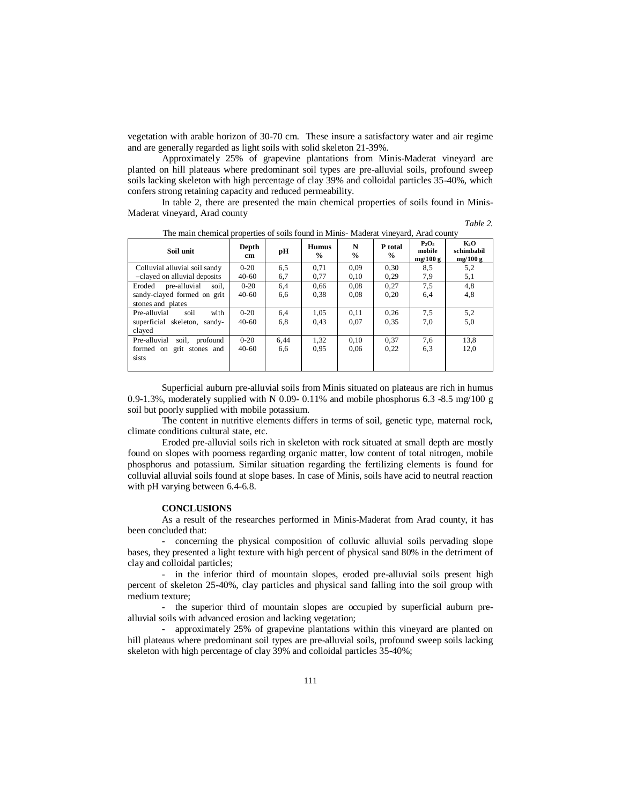vegetation with arable horizon of 30-70 cm. These insure a satisfactory water and air regime and are generally regarded as light soils with solid skeleton 21-39%.

Approximately 25% of grapevine plantations from Minis-Maderat vineyard are planted on hill plateaus where predominant soil types are pre-alluvial soils, profound sweep soils lacking skeleton with high percentage of clay 39% and colloidal particles 35-40%, which confers strong retaining capacity and reduced permeability.

In table 2, there are presented the main chemical properties of soils found in Minis-Maderat vineyard, Arad county

*Table 2.*

| Soil unit                       | Depth<br>cm | pН   | <b>Humus</b><br>$\frac{0}{0}$ | N<br>$\%$ | P total<br>$\%$ | $P_2O_5$<br>mobile<br>mg/100g | $K_2O$<br>schimbabil<br>mg/100 g |
|---------------------------------|-------------|------|-------------------------------|-----------|-----------------|-------------------------------|----------------------------------|
| Colluvial alluvial soil sandy   | $0 - 20$    | 6,5  | 0.71                          | 0,09      | 0,30            | 8.5                           | 5,2                              |
| -clayed on alluvial deposits    | $40 - 60$   | 6,7  | 0.77                          | 0.10      | 0.29            | 7,9                           | 5,1                              |
| pre-alluvial<br>Eroded<br>soil. | $0 - 20$    | 6,4  | 0.66                          | 0.08      | 0,27            | 7,5                           | 4,8                              |
| sandy-clayed formed on grit     | $40 - 60$   | 6,6  | 0.38                          | 0.08      | 0,20            | 6,4                           | 4,8                              |
| stones and plates               |             |      |                               |           |                 |                               |                                  |
| with<br>Pre-alluvial<br>soil    | $0 - 20$    | 6,4  | 1.05                          | 0.11      | 0.26            | 7.5                           | 5,2                              |
| superficial skeleton, sandy-    | $40 - 60$   | 6,8  | 0.43                          | 0.07      | 0.35            | 7,0                           | 5,0                              |
| clayed                          |             |      |                               |           |                 |                               |                                  |
| Pre-alluvial soil, profound     | $0 - 20$    | 6,44 | 1,32                          | 0,10      | 0.37            | 7,6                           | 13.8                             |
| formed on grit stones and       | $40 - 60$   | 6,6  | 0.95                          | 0.06      | 0,22            | 6.3                           | 12,0                             |
| sists                           |             |      |                               |           |                 |                               |                                  |
|                                 |             |      |                               |           |                 |                               |                                  |

The main chemical properties of soils found in Minis- Maderat vineyard, Arad county

Superficial auburn pre-alluvial soils from Minis situated on plateaus are rich in humus 0.9-1.3%, moderately supplied with N 0.09- 0.11% and mobile phosphorus 6.3 -8.5 mg/100 g soil but poorly supplied with mobile potassium.

The content in nutritive elements differs in terms of soil, genetic type, maternal rock, climate conditions cultural state, etc.

Eroded pre-alluvial soils rich in skeleton with rock situated at small depth are mostly found on slopes with poorness regarding organic matter, low content of total nitrogen, mobile phosphorus and potassium. Similar situation regarding the fertilizing elements is found for colluvial alluvial soils found at slope bases. In case of Minis, soils have acid to neutral reaction with pH varying between 6.4-6.8.

## **CONCLUSIONS**

As a result of the researches performed in Minis-Maderat from Arad county, it has been concluded that:

- concerning the physical composition of colluvic alluvial soils pervading slope bases, they presented a light texture with high percent of physical sand 80% in the detriment of clay and colloidal particles;

- in the inferior third of mountain slopes, eroded pre-alluvial soils present high percent of skeleton 25-40%, clay particles and physical sand falling into the soil group with medium texture;

- the superior third of mountain slopes are occupied by superficial auburn prealluvial soils with advanced erosion and lacking vegetation;

- approximately 25% of grapevine plantations within this vineyard are planted on hill plateaus where predominant soil types are pre-alluvial soils, profound sweep soils lacking skeleton with high percentage of clay 39% and colloidal particles 35-40%;